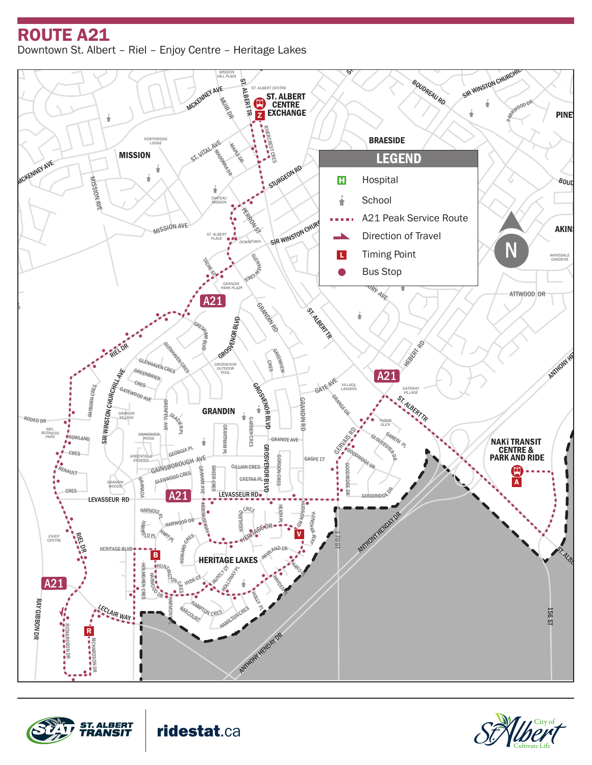## LAROS<sup>E</sup> <sup>D</sup><sup>R</sup> DAWSON RD ROUTE A21

<sup>L</sup>ENNO<sup>X</sup> <sup>D</sup><sup>R</sup>



BOUDREAU RD

WOODLANDS





ridestat.ca